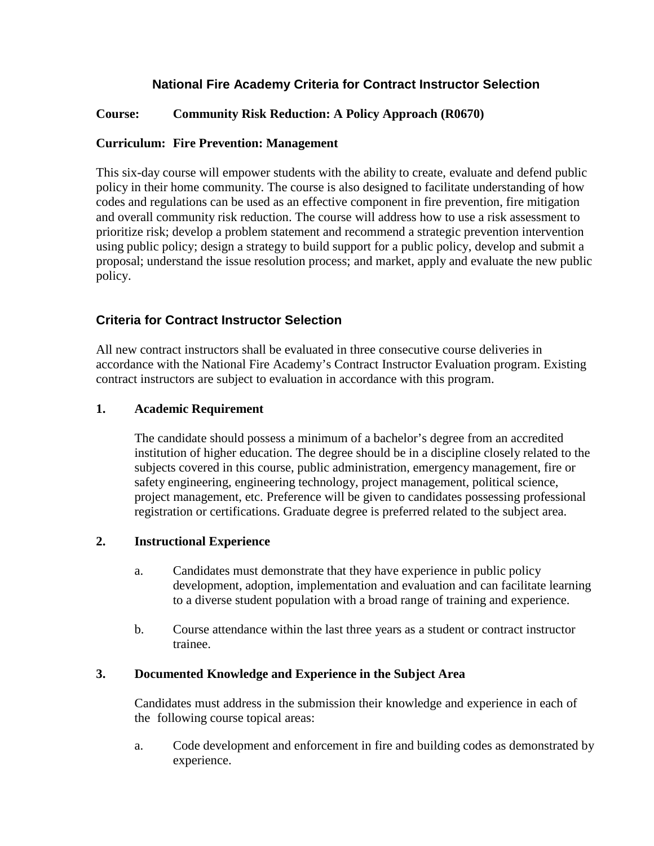# **National Fire Academy Criteria for Contract Instructor Selection**

## **Course: Community Risk Reduction: A Policy Approach (R0670)**

### **Curriculum: Fire Prevention: Management**

This six-day course will empower students with the ability to create, evaluate and defend public policy in their home community. The course is also designed to facilitate understanding of how codes and regulations can be used as an effective component in fire prevention, fire mitigation and overall community risk reduction. The course will address how to use a risk assessment to prioritize risk; develop a problem statement and recommend a strategic prevention intervention using public policy; design a strategy to build support for a public policy, develop and submit a proposal; understand the issue resolution process; and market, apply and evaluate the new public policy.

## **Criteria for Contract Instructor Selection**

All new contract instructors shall be evaluated in three consecutive course deliveries in accordance with the National Fire Academy's Contract Instructor Evaluation program. Existing contract instructors are subject to evaluation in accordance with this program.

### **1. Academic Requirement**

The candidate should possess a minimum of a bachelor's degree from an accredited institution of higher education. The degree should be in a discipline closely related to the subjects covered in this course, public administration, emergency management, fire or safety engineering, engineering technology, project management, political science, project management, etc. Preference will be given to candidates possessing professional registration or certifications. Graduate degree is preferred related to the subject area.

#### **2. Instructional Experience**

- a. Candidates must demonstrate that they have experience in public policy development, adoption, implementation and evaluation and can facilitate learning to a diverse student population with a broad range of training and experience.
- b. Course attendance within the last three years as a student or contract instructor trainee.

#### **3. Documented Knowledge and Experience in the Subject Area**

Candidates must address in the submission their knowledge and experience in each of the following course topical areas:

a. Code development and enforcement in fire and building codes as demonstrated by experience.